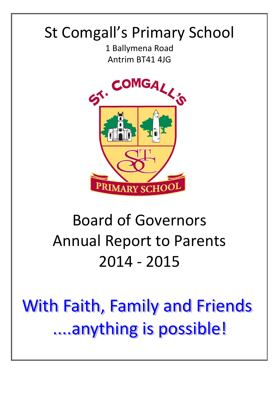# St Comgall's Primary School

1 Ballymena Road Antrim BT41 4JG



# Board of Governors Annual Report to Parents 2014 - 2015

**With Faith, Family and Friends** ....anything is possible!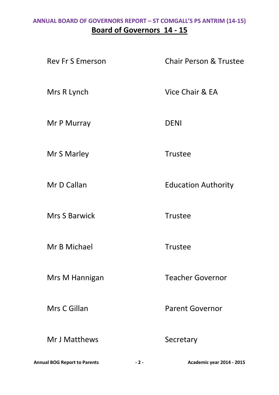#### **ANNUAL BOARD OF GOVERNORS REPORT – ST COMGALL'S PS ANTRIM (14-15) Board of Governors 14 - 15**

Rev Fr S Emerson Chair Person & Trustee

Mrs R Lynch Vice Chair & EA

Mr P Murray DENI

Mr S Marley **Trustee** 

Mr D Callan **Education Authority** 

Mrs S Barwick Trustee

Mr B Michael **Trustee** 

Mr J Matthews Secretary

Mrs M Hannigan Teacher Governor

Mrs C Gillan **Parent Governor** 

**Annual BOG Report to Parents - 2 - Academic year 2014 - 2015**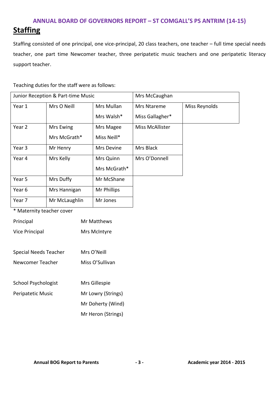Staffing consisted of one principal, one vice-principal, 20 class teachers, one teacher – full time special needs teacher, one part time Newcomer teacher, three peripatetic music teachers and one peripatetic literacy support teacher.

Teaching duties for the staff were as follows:

| Junior Reception & Part-time Music |               |              | Mrs McCaughan          |               |
|------------------------------------|---------------|--------------|------------------------|---------------|
| Year 1                             | Mrs O Neill   | Mrs Mullan   | Mrs Ntareme            | Miss Reynolds |
|                                    |               | Mrs Walsh*   | Miss Gallagher*        |               |
| Year 2                             | Mrs Ewing     | Mrs Magee    | <b>Miss McAllister</b> |               |
|                                    | Mrs McGrath*  | Miss Neill*  |                        |               |
| Year 3                             | Mr Henry      | Mrs Devine   | Mrs Black              |               |
| Year 4                             | Mrs Kelly     | Mrs Quinn    | Mrs O'Donnell          |               |
|                                    |               | Mrs McGrath* |                        |               |
| Year 5                             | Mrs Duffy     | Mr McShane   |                        |               |
| Year 6                             | Mrs Hannigan  | Mr Phillips  |                        |               |
| Year 7                             | Mr McLaughlin | Mr Jones     |                        |               |

\* Maternity teacher cover

| Principal                    | Mr Matthews        |
|------------------------------|--------------------|
| <b>Vice Principal</b>        | Mrs McIntyre       |
|                              |                    |
| <b>Special Needs Teacher</b> | Mrs O'Neill        |
| Newcomer Teacher             | Miss O'Sullivan    |
|                              |                    |
| <b>School Psychologist</b>   | Mrs Gillespie      |
| Peripatetic Music            | Mr Lowry (Strings) |
|                              | Mr Doherty (Wind)  |
|                              | Mr Heron (Strings) |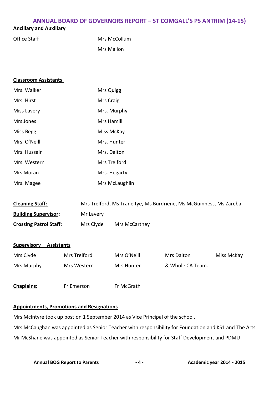#### **Ancillary and Auxiliary**

| Office Staff | Mrs McCollum |
|--------------|--------------|
|              | Mrs Mallon   |

| <b>Classroom Assistants</b>             |              |             |                |                                                                    |            |
|-----------------------------------------|--------------|-------------|----------------|--------------------------------------------------------------------|------------|
| Mrs. Walker                             |              | Mrs Quigg   |                |                                                                    |            |
| Mrs. Hirst                              |              | Mrs Craig   |                |                                                                    |            |
| Miss Lavery                             |              |             | Mrs. Murphy    |                                                                    |            |
| Mrs Jones                               |              | Mrs Hamill  |                |                                                                    |            |
| <b>Miss Begg</b>                        |              | Miss McKay  |                |                                                                    |            |
| Mrs. O'Neill                            |              |             | Mrs. Hunter    |                                                                    |            |
| Mrs. Hussain                            |              | Mrs. Dalton |                |                                                                    |            |
| Mrs. Western                            |              |             | Mrs Trelford   |                                                                    |            |
| Mrs Moran                               |              |             | Mrs. Hegarty   |                                                                    |            |
| Mrs. Magee                              |              |             | Mrs McLaughlin |                                                                    |            |
|                                         |              |             |                |                                                                    |            |
| <b>Cleaning Staff:</b>                  |              |             |                | Mrs Trelford, Ms Traneltye, Ms Burdriene, Ms McGuinness, Ms Zareba |            |
| <b>Building Supervisor:</b>             | Mr Lavery    |             |                |                                                                    |            |
| <b>Crossing Patrol Staff:</b>           | Mrs Clyde    |             | Mrs McCartney  |                                                                    |            |
|                                         |              |             |                |                                                                    |            |
| <b>Supervisory</b><br><b>Assistants</b> |              |             |                |                                                                    |            |
| Mrs Clyde                               | Mrs Trelford |             | Mrs O'Neill    | Mrs Dalton                                                         | Miss McKay |
| Mrs Murphy                              | Mrs Western  |             | Mrs Hunter     | & Whole CA Team.                                                   |            |
|                                         |              |             |                |                                                                    |            |

**Chaplains:** Fr Emerson Fr McGrath

#### **Appointments, Promotions and Resignations**

Mrs McIntyre took up post on 1 September 2014 as Vice Principal of the school.

Mrs McCaughan was appointed as Senior Teacher with responsibility for Foundation and KS1 and The Arts Mr McShane was appointed as Senior Teacher with responsibility for Staff Development and PDMU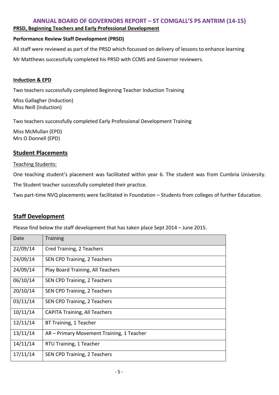#### **PRSD, Beginning Teachers and Early Professional Development**

#### **Performance Review Staff Development (PRSD)**

All staff were reviewed as part of the PRSD which focussed on delivery of lessons to enhance learning

Mr Matthews successfully completed his PRSD with CCMS and Governor reviewers.

#### **Induction & EPD**

Two teachers successfully completed Beginning Teacher Induction Training

Miss Gallagher (Induction) Miss Neill (Induction)

Two teachers successfully completed Early Professional Development Training

Miss McMullan (EPD) Mrs O Donnell (EPD)

#### **Student Placements**

#### Teaching Students:

One teaching student's placement was facilitated within year 6. The student was from Cumbria University.

The Student teacher successfully completed their practice.

Two part-time NVQ placements were facilitated in Foundation – Students from colleges of further Education.

#### **Staff Development**

Please find below the staff development that has taken place Sept 2014 – June 2015.

| Date     | <b>Training</b>                           |
|----------|-------------------------------------------|
| 22/09/14 | Cred Training, 2 Teachers                 |
| 24/09/14 | SEN CPD Training, 2 Teachers              |
| 24/09/14 | Play Board Training, All Teachers         |
| 06/10/14 | SEN CPD Training, 2 Teachers              |
| 20/10/14 | SEN CPD Training, 2 Teachers              |
| 03/11/14 | SEN CPD Training, 2 Teachers              |
| 10/11/14 | <b>CAPITA Training, All Teachers</b>      |
| 12/11/14 | BT Training, 1 Teacher                    |
| 13/11/14 | AR – Primary Movement Training, 1 Teacher |
| 14/11/14 | RTU Training, 1 Teacher                   |
| 17/11/14 | SEN CPD Training, 2 Teachers              |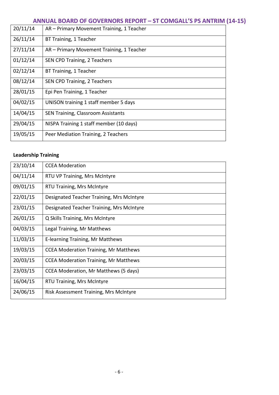| 20/11/14 | AR - Primary Movement Training, 1 Teacher |
|----------|-------------------------------------------|
| 26/11/14 | BT Training, 1 Teacher                    |
| 27/11/14 | AR - Primary Movement Training, 1 Teacher |
| 01/12/14 | SEN CPD Training, 2 Teachers              |
| 02/12/14 | BT Training, 1 Teacher                    |
| 08/12/14 | SEN CPD Training, 2 Teachers              |
| 28/01/15 | Epi Pen Training, 1 Teacher               |
| 04/02/15 | UNISON training 1 staff member 5 days     |
| 14/04/15 | <b>SEN Training, Classroom Assistants</b> |
| 29/04/15 | NISPA Training 1 staff member (10 days)   |
| 19/05/15 | Peer Mediation Training, 2 Teachers       |

#### **Leadership Training**

| 23/10/14 | <b>CCEA Moderation</b>                       |
|----------|----------------------------------------------|
| 04/11/14 | RTU VP Training, Mrs McIntyre                |
| 09/01/15 | RTU Training, Mrs McIntyre                   |
| 22/01/15 | Designated Teacher Training, Mrs McIntyre    |
| 23/01/15 | Designated Teacher Training, Mrs McIntyre    |
| 26/01/15 | Q Skills Training, Mrs McIntyre              |
| 04/03/15 | Legal Training, Mr Matthews                  |
| 11/03/15 | E-learning Training, Mr Matthews             |
| 19/03/15 | <b>CCEA Moderation Training, Mr Matthews</b> |
| 20/03/15 | <b>CCEA Moderation Training, Mr Matthews</b> |
| 23/03/15 | CCEA Moderation, Mr Matthews (5 days)        |
| 16/04/15 | <b>RTU Training, Mrs McIntyre</b>            |
| 24/06/15 | Risk Assessment Training, Mrs McIntyre       |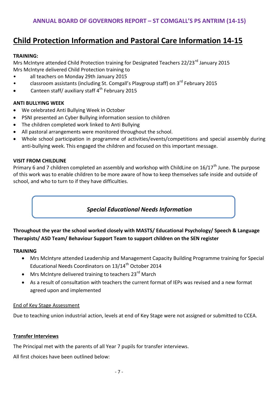### **Child Protection Information and Pastoral Care Information 14-15**

#### **TRAINING:**

Mrs McIntyre attended Child Protection training for Designated Teachers 22/23<sup>rd</sup> January 2015 Mrs McIntyre delivered Child Protection training to

- all teachers on Monday 29th January 2015
- classroom assistants (including St. Comgall's Playgroup staff) on 3<sup>rd</sup> February 2015
- Canteen staff/ auxiliary staff  $4^{th}$  February 2015

#### **ANTI BULLYING WEEK**

- We celebrated Anti Bullying Week in October
- PSNI presented an Cyber Bullying information session to children
- The children completed work linked to Anti Bullying
- All pastoral arrangements were monitored throughout the school.
- Whole school participation in programme of activities/events/competitions and special assembly during anti-bullying week. This engaged the children and focused on this important message.

#### **VISIT FROM CHILDLINE**

Primary 6 and 7 children completed an assembly and workshop with ChildLine on  $16/17<sup>th</sup>$  June. The purpose of this work was to enable children to be more aware of how to keep themselves safe inside and outside of school, and who to turn to if they have difficulties.

#### *Special Educational Needs Information*

#### **Throughout the year the school worked closely with MASTS/ Educational Psychology/ Speech & Language Therapists/ ASD Team/ Behaviour Support Team to support children on the SEN register**

#### **TRAINING**

- Mrs McIntyre attended Leadership and Management Capacity Building Programme training for Special Educational Needs Coordinators on 13/14<sup>th</sup> October 2014
- Mrs McIntyre delivered training to teachers 23<sup>rd</sup> March
- As a result of consultation with teachers the current format of IEPs was revised and a new format agreed upon and implemented

#### End of Key Stage Assessment

Due to teaching union industrial action, levels at end of Key Stage were not assigned or submitted to CCEA.

#### **Transfer Interviews**

The Principal met with the parents of all Year 7 pupils for transfer interviews.

All first choices have been outlined below: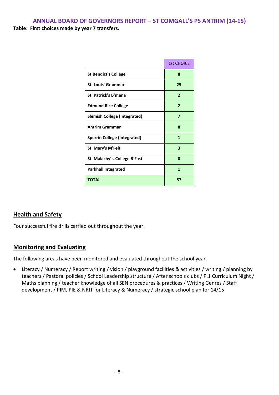|                                     | <b>1st CHOICE</b> |
|-------------------------------------|-------------------|
| <b>St.Bendict's College</b>         | 8                 |
| St. Louis' Grammar                  | 25                |
| <b>St. Patrick's B'mena</b>         | $\mathbf{2}$      |
| <b>Edmund Rice College</b>          | $\overline{2}$    |
| <b>Slemish College (Integrated)</b> | 7                 |
| <b>Antrim Grammar</b>               | 8                 |
| <b>Sperrin College (Integrated)</b> | 1                 |
| St. Mary's M'Felt                   | 3                 |
| St. Malachy's College B'Fast        | 0                 |
| <b>Parkhall Integrated</b>          | 1                 |
| <b>TOTAL</b>                        | 57                |

#### **Health and Safety**

Four successful fire drills carried out throughout the year.

#### **Monitoring and Evaluating**

The following areas have been monitored and evaluated throughout the school year.

 Literacy / Numeracy / Report writing / vision / playground facilities & activities / writing / planning by teachers / Pastoral policies / School Leadership structure / After schools clubs / P.1 Curriculum Night / Maths planning / teacher knowledge of all SEN procedures & practices / Writing Genres / Staff development / PIM, PIE & NRIT for Literacy & Numeracy / strategic school plan for 14/15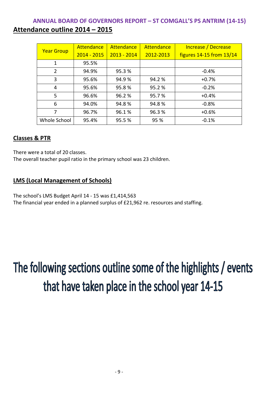#### **ANNUAL BOARD OF GOVERNORS REPORT – ST COMGALL'S PS ANTRIM (14-15) Attendance outline 2014 – 2015**

|                   | Attendance    | Attendance    | Attendance<br>Increase / Decrease |                          |
|-------------------|---------------|---------------|-----------------------------------|--------------------------|
| <b>Year Group</b> | $2014 - 2015$ | $2013 - 2014$ | 2012-2013                         | figures 14-15 from 13/14 |
| 1                 | 95.5%         |               |                                   |                          |
| 2                 | 94.9%         | 95.3%         |                                   | $-0.4%$                  |
| 3                 | 95.6%         | 94.9%         | 94.2 %                            | $+0.7%$                  |
| 4                 | 95.6%         | 95.8%         | 95.2%                             | $-0.2%$                  |
| 5                 | 96.6%         | 96.2%         | 95.7%                             | $+0.4%$                  |
| 6                 | 94.0%         | 94.8%         | 94.8%                             | $-0.8%$                  |
| 7                 | 96.7%         | 96.1%         | 96.3%                             | $+0.6%$                  |
| Whole School      | 95.4%         | 95.5%         | 95 %                              | $-0.1%$                  |

#### **Classes & PTR**

There were a total of 20 classes.

The overall teacher pupil ratio in the primary school was 23 children.

#### **LMS (Local Management of Schools)**

The school's LMS Budget April 14 - 15 was £1,414,563 The financial year ended in a planned surplus of £21,962 re. resources and staffing.

# The following sections outline some of the highlights / events that have taken place in the school year 14-15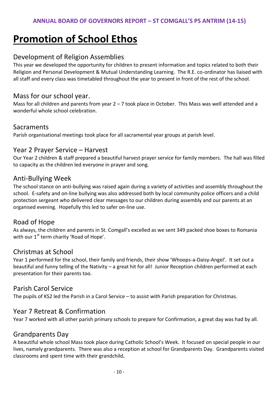# **Promotion of School Ethos**

#### Development of Religion Assemblies

This year we developed the opportunity for children to present information and topics related to both their Religion and Personal Development & Mutual Understanding Learning. The R.E. co-ordinator has liaised with all staff and every class was timetabled throughout the year to present in front of the rest of the school.

#### Mass for our school year.

Mass for all children and parents from year  $2 - 7$  took place in October. This Mass was well attended and a wonderful whole school celebration.

#### **Sacraments**

Parish organisational meetings took place for all sacramental year groups at parish level.

#### Year 2 Prayer Service – Harvest

Our Year 2 children & staff prepared a beautiful harvest prayer service for family members. The hall was filled to capacity as the children led everyone in prayer and song.

#### Anti-Bullying Week

The school stance on anti-bullying was raised again during a variety of activities and assembly throughout the school. E-safety and on-line bullying was also addressed both by local community police officers and a child protection sergeant who delivered clear messages to our children during assembly and our parents at an organised evening. Hopefully this led to safer on-line use.

#### Road of Hope

As always, the children and parents in St. Comgall's excelled as we sent 349 packed shoe boxes to Romania with our  $1<sup>st</sup>$  term charity 'Road of Hope'.

#### Christmas at School

Year 1 performed for the school, their family and friends, their show 'Whoops-a-Daisy-Angel'. It set out a beautiful and funny telling of the Nativity – a great hit for all! Junior Reception children performed at each presentation for their parents too.

#### Parish Carol Service

The pupils of KS2 led the Parish in a Carol Service – to assist with Parish preparation for Christmas.

#### Year 7 Retreat & Confirmation

Year 7 worked with all other parish primary schools to prepare for Confirmation, a great day was had by all.

#### Grandparents Day

A beautiful whole school Mass took place during Catholic School's Week. It focused on special people in our lives, namely grandparents. There was also a reception at school for Grandparents Day. Grandparents visited classrooms and spent time with their grandchild**.**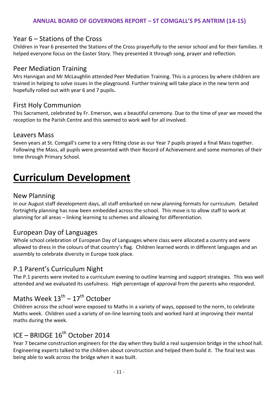#### Year 6 – Stations of the Cross

Children in Year 6 presented the Stations of the Cross prayerfully to the senior school and for their families. It helped everyone focus on the Easter Story. They presented it through song, prayer and reflection.

#### Peer Mediation Training

Mrs Hannigan and Mr McLaughlin attended Peer Mediation Training. This is a process by where children are trained in helping to solve issues in the playground. Further training will take place in the new term and hopefully rolled out with year 6 and 7 pupils**.**

#### First Holy Communion

This Sacrament, celebrated by Fr. Emerson, was a beautiful ceremony. Due to the time of year we moved the reception to the Parish Centre and this seemed to work well for all involved.

#### Leavers Mass

Seven years at St. Comgall's came to a very fitting close as our Year 7 pupils prayed a final Mass together. Following the Mass, all pupils were presented with their Record of Achievement and some memories of their time through Primary School.

## **Curriculum Development**

#### New Planning

In our August staff development days, all staff embarked on new planning formats for curriculum. Detailed fortnightly planning has now been embedded across the school. This move is to allow staff to work at planning for all areas – linking learning to schemes and allowing for differentiation.

#### European Day of Languages

Whole school celebration of European Day of Languages where class were allocated a country and were allowed to dress in the colours of that country's flag. Children learned words in different languages and an assembly to celebrate diversity in Europe took place.

#### P.1 Parent's Curriculum Night

The P.1 parents were invited to a curriculum evening to outline learning and support strategies. This was well attended and we evaluated its usefulness. High percentage of approval from the parents who responded.

## Maths Week  $13^{\text{th}} - 17^{\text{th}}$  October

Children across the school were exposed to Maths in a variety of ways, opposed to the norm, to celebrate Maths week. Children used a variety of on-line learning tools and worked hard at improving their mental maths during the week.

## ICE – BRIDGE 16<sup>th</sup> October 2014

Year 7 became construction engineers for the day when they build a real suspension bridge in the school hall. Engineering experts talked to the children about construction and helped them build it. The final test was being able to walk across the bridge when it was built.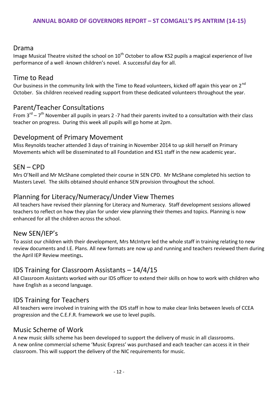#### Drama

Image Musical Theatre visited the school on  $10<sup>th</sup>$  October to allow KS2 pupils a magical experience of live performance of a well -known children's novel. A successful day for all.

#### Time to Read

Our business in the community link with the Time to Read volunteers, kicked off again this year on  $2^{nd}$ October. Six children received reading support from these dedicated volunteers throughout the year.

#### Parent/Teacher Consultations

From  $3^{rd}$  –  $7^{th}$  November all pupils in years 2 -7 had their parents invited to a consultation with their class teacher on progress. During this week all pupils will go home at 2pm.

#### Development of Primary Movement

Miss Reynolds teacher attended 3 days of training in November 2014 to up skill herself on Primary Movements which will be disseminated to all Foundation and KS1 staff in the new academic year**.**

#### SEN – CPD

Mrs O'Neill and Mr McShane completed their course in SEN CPD. Mr McShane completed his section to Masters Level. The skills obtained should enhance SEN provision throughout the school.

#### Planning for Literacy/Numeracy/Unde**r** View Themes

All teachers have revised their planning for Literacy and Numeracy. Staff development sessions allowed teachers to reflect on how they plan for under view planning their themes and topics. Planning is now enhanced for all the children across the school.

#### New SEN/IEP's

To assist our children with their development, Mrs McIntyre led the whole staff in training relating to new review documents and I.E. Plans. All new formats are now up and running and teachers reviewed them during the April IEP Review meetings**.**

#### IDS Training for Classroom Assistants – 14/4/15

All Classroom Assistants worked with our IDS officer to extend their skills on how to work with children who have English as a second language.

#### IDS Training for Teachers

All teachers were involved in training with the IDS staff in how to make clear links between levels of CCEA progression and the C.E.F.R. framework we use to level pupils.

#### Music Scheme of Work

A new music skills scheme has been developed to support the delivery of music in all classrooms. A new online commercial scheme 'Music Express' was purchased and each teacher can access it in their classroom. This will support the delivery of the NIC requirements for music.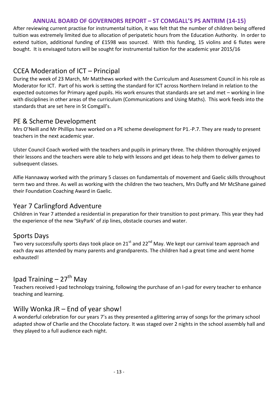After reviewing current practise for instrumental tuition, it was felt that the number of children being offered tuition was extremely limited due to allocation of peripatetic hours from the Education Authority. In order to extend tuition, additional funding of £1598 was sourced. With this funding, 15 violins and 6 flutes were bought. It is envisaged tutors will be sought for instrumental tuition for the academic year 2015/16

#### CCEA Moderation of ICT – Principal

During the week of 23 March, Mr Matthews worked with the Curriculum and Assessment Council in his role as Moderator for ICT. Part of his work is setting the standard for ICT across Northern Ireland in relation to the expected outcomes for Primary aged pupils. His work ensures that standards are set and met – working in line with disciplines in other areas of the curriculum (Communications and Using Maths). This work feeds into the standards that are set here in St Comgall's.

#### PE & Scheme Development

Mrs O'Neill and Mr Phillips have worked on a PE scheme development for P1.-P.7. They are ready to present teachers in the next academic year.

Ulster Council Coach worked with the teachers and pupils in primary three. The children thoroughly enjoyed their lessons and the teachers were able to help with lessons and get ideas to help them to deliver games to subsequent classes.

Alfie Hannaway worked with the primary 5 classes on fundamentals of movement and Gaelic skills throughout term two and three. As well as working with the children the two teachers, Mrs Duffy and Mr McShane gained their Foundation Coaching Award in Gaelic.

#### Year 7 Carlingford Adventure

Children in Year 7 attended a residential in preparation for their transition to post primary. This year they had the experience of the new 'SkyPark' of zip lines, obstacle courses and water.

#### Sports Days

Two very successfully sports days took place on 21<sup>st</sup> and 22<sup>nd</sup> May. We kept our carnival team approach and each day was attended by many parents and grandparents. The children had a great time and went home exhausted!

## Ipad Training  $-27$ <sup>th</sup> May

Teachers received I-pad technology training, following the purchase of an I-pad for every teacher to enhance teaching and learning.

#### Willy Wonka JR – End of year show!

A wonderful celebration for our years 7's as they presented a glittering array of songs for the primary school adapted show of Charlie and the Chocolate factory. It was staged over 2 nights in the school assembly hall and they played to a full audience each night.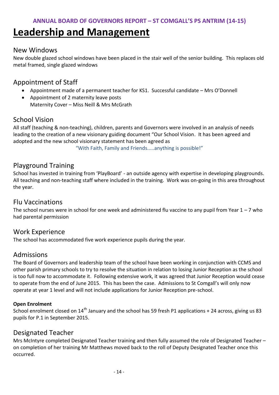## **Leadership and Management**

#### New Windows

New double glazed school windows have been placed in the stair well of the senior building. This replaces old metal framed, single glazed windows

#### Appointment of Staff

- Appointment made of a permanent teacher for KS1. Successful candidate Mrs O'Donnell
- Appointment of 2 maternity leave posts Maternity Cover – Miss Neill & Mrs McGrath

#### School Vision

All staff (teaching & non-teaching), children, parents and Governors were involved in an analysis of needs leading to the creation of a new visionary guiding document "Our School Vision. It has been agreed and adopted and the new school visionary statement has been agreed as

"With Faith, Family and Friends.....anything is possible!"

#### Playground Training

School has invested in training from 'PlayBoard' - an outside agency with expertise in developing playgrounds. All teaching and non-teaching staff where included in the training. Work was on-going in this area throughout the year.

#### Flu Vaccinations

The school nurses were in school for one week and administered flu vaccine to any pupil from Year  $1 - 7$  who had parental permission

#### Work Experience

The school has accommodated five work experience pupils during the year.

#### Admissions

The Board of Governors and leadership team of the school have been working in conjunction with CCMS and other parish primary schools to try to resolve the situation in relation to losing Junior Reception as the school is too full now to accommodate it. Following extensive work, it was agreed that Junior Reception would cease to operate from the end of June 2015. This has been the case. Admissions to St Comgall's will only now operate at year 1 level and will not include applications for Junior Reception pre-school.

#### **Open Enrolment**

School enrolment closed on  $14<sup>th</sup>$  January and the school has 59 fresh P1 applications + 24 across, giving us 83 pupils for P.1 in September 2015.

#### Designated Teacher

Mrs McIntyre completed Designated Teacher training and then fully assumed the role of Designated Teacher – on completion of her training Mr Matthews moved back to the roll of Deputy Designated Teacher once this occurred.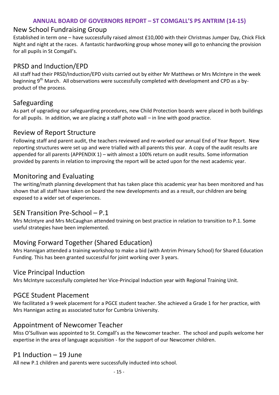#### New School Fundraising Group

Established in term one – have successfully raised almost £10,000 with their Christmas Jumper Day, Chick Flick Night and night at the races. A fantastic hardworking group whose money will go to enhancing the provision for all pupils in St Comgall's.

#### PRSD and Induction/EPD

All staff had their PRSD/Induction/EPD visits carried out by either Mr Matthews or Mrs McIntyre in the week beginning  $9<sup>th</sup>$  March. All observations were successfully completed with development and CPD as a byproduct of the process.

#### Safeguarding

As part of upgrading our safeguarding procedures, new Child Protection boards were placed in both buildings for all pupils. In addition, we are placing a staff photo wall – in line with good practice.

#### Review of Report Structure

Following staff and parent audit, the teachers reviewed and re-worked our annual End of Year Report. New reporting structures were set up and were trialled with all parents this year. A copy of the audit results are appended for all parents (APPENDIX 1) – with almost a 100% return on audit results. Some information provided by parents in relation to improving the report will be acted upon for the next academic year.

#### Monitoring and Evaluating

The writing/math planning development that has taken place this academic year has been monitored and has shown that all staff have taken on board the new developments and as a result, our children are being exposed to a wider set of experiences.

#### SEN Transition Pre-School – P.1

Mrs McIntyre and Mrs McCaughan attended training on best practice in relation to transition to P.1. Some useful strategies have been implemented.

#### Moving Forward Together (Shared Education)

Mrs Hannigan attended a training workshop to make a bid (with Antrim Primary School) for Shared Education Funding. This has been granted successful for joint working over 3 years.

#### Vice Principal Induction

Mrs McIntyre successfully completed her Vice-Principal Induction year with Regional Training Unit.

#### PGCE Student Placement

We facilitated a 9 week placement for a PGCE student teacher. She achieved a Grade 1 for her practice, with Mrs Hannigan acting as associated tutor for Cumbria University.

#### Appointment of Newcomer Teacher

Miss O'Sullivan was appointed to St. Comgall's as the Newcomer teacher. The school and pupils welcome her expertise in the area of language acquisition - for the support of our Newcomer children.

#### P1 Induction – 19 June

All new P.1 children and parents were successfully inducted into school.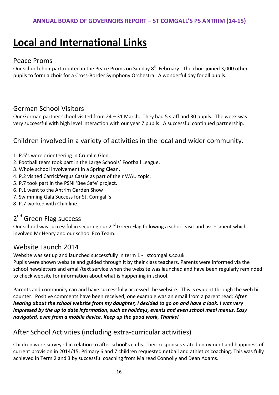# **Local and International Links**

#### Peace Proms

Our school choir participated in the Peace Proms on Sunday 8<sup>th</sup> February. The choir joined 3,000 other pupils to form a choir for a Cross-Border Symphony Orchestra. A wonderful day for all pupils.

#### German School Visitors

Our German partner school visited from 24 – 31 March. They had 5 staff and 30 pupils. The week was very successful with high level interaction with our year 7 pupils. A successful continued partnership.

#### Children involved in a variety of activities in the local and wider community.

- 1. P.5's were orienteering in Crumlin Glen.
- 2. Football team took part in the Large Schools' Football League.
- 3. Whole school involvement in a Spring Clean.
- 4. P.2 visited Carrickfergus Castle as part of their WAU topic.
- 5. P.7 took part in the PSNI 'Bee Safe' project.
- 6. P.1 went to the Antrim Garden Show
- 7. Swimming Gala Success for St. Comgall's
- 8. P.7 worked with Childline.

### 2<sup>nd</sup> Green Flag success

Our school was successful in securing our 2<sup>nd</sup> Green Flag following a school visit and assessment which involved Mr Henry and our school Eco Team.

#### Website Launch 2014

Website was set up and launched successfully in term 1 - stcomgalls.co.uk

Pupils were shown website and guided through it by their class teachers. Parents were informed via the school newsletters and email/text service when the website was launched and have been regularly reminded to check website for information about what is happening in school.

Parents and community can and have successfully accessed the website. This is evident through the web hit counter. Positive comments have been received, one example was an email from a parent read: *After hearing about the school website from my daughter, I decided to go on and have a look. I was very impressed by the up to date information, such as holidays, events and even school meal menus. Easy navigated, even from a mobile device. Keep up the good work, Thanks!*

#### After School Activities (including extra-curricular activities)

Children were surveyed in relation to after school's clubs. Their responses stated enjoyment and happiness of current provision in 2014/15. Primary 6 and 7 children requested netball and athletics coaching. This was fully achieved in Term 2 and 3 by successful coaching from Mairead Connolly and Dean Adams.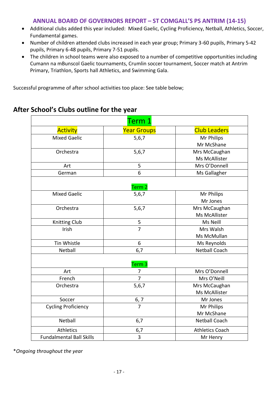- Additional clubs added this year included: Mixed Gaelic, Cycling Proficiency, Netball, Athletics, Soccer, Fundamental games.
- Number of children attended clubs increased in each year group; Primary 3-60 pupils, Primary 5-42 pupils, Primary 6-48 pupils, Primary 7-51 pupils.
- The children in school teams were also exposed to a number of competitive opportunities including Cumann na mBunscol Gaelic tournaments, Crumlin soccer tournament, Soccer match at Antrim Primary, Triathlon, Sports hall Athletics, and Swimming Gala.

Successful programme of after school activities too place: See table below;

|                                 | Term 1                     |                        |
|---------------------------------|----------------------------|------------------------|
| <b>Activity</b>                 | <b>Year Groups</b>         | <b>Club Leaders</b>    |
| <b>Mixed Gaelic</b>             | 5,6,7                      | Mr Philips             |
|                                 |                            | Mr McShane             |
| Orchestra                       | 5,6,7                      | Mrs McCaughan          |
|                                 |                            | Ms McAllister          |
| Art                             | 5                          | Mrs O'Donnell          |
| German                          | 6                          | Ms Gallagher           |
| <b>Mixed Gaelic</b>             | Term <sub>2</sub><br>5,6,7 | Mr Philips             |
|                                 |                            | Mr Jones               |
| Orchestra                       | 5,6,7                      | Mrs McCaughan          |
|                                 |                            | Ms McAllister          |
| Knitting Club                   | 5                          | Ms Neill               |
| Irish                           | $\overline{7}$             | Mrs Walsh              |
|                                 |                            | Ms McMullan            |
| Tin Whistle                     | 6                          | Ms Reynolds            |
| Netball                         | 6,7                        | <b>Netball Coach</b>   |
|                                 | Term <sub>3</sub>          |                        |
| Art                             | $\overline{7}$             | Mrs O'Donnell          |
| French                          | 7                          | Mrs O'Neill            |
| Orchestra                       | 5,6,7                      | Mrs McCaughan          |
|                                 |                            | Ms McAllister          |
| Soccer                          | $\frac{6,7}{7}$            | Mr Jones               |
| <b>Cycling Proficiency</b>      |                            | Mr Philips             |
|                                 |                            | Mr McShane             |
| Netball                         | 6,7                        | <b>Netball Coach</b>   |
| <b>Athletics</b>                | 6,7                        | <b>Athletics Coach</b> |
| <b>Fundalmental Ball Skills</b> | $\overline{3}$             | Mr Henry               |

#### **After School's Clubs outline for the year**

\**Ongoing throughout the year*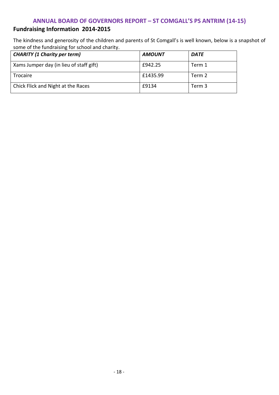#### **Fundraising Information 2014-2015**

The kindness and generosity of the children and parents of St Comgall's is well known, below is a snapshot of some of the fundraising for school and charity.

| <b>CHARITY (1 Charity per term)</b>     | <b>AMOUNT</b> | <b>DATE</b> |
|-----------------------------------------|---------------|-------------|
| Xams Jumper day (in lieu of staff gift) | £942.25       | Term 1      |
| <b>Trocaire</b>                         | £1435.99      | Term 2      |
| Chick Flick and Night at the Races      | £9134         | Term 3      |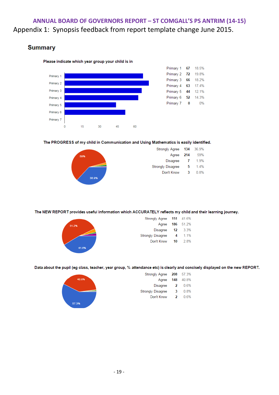#### **ANNUAL BOARD OF GOVERNORS REPORT – ST COMGALL'S PS ANTRIM (14-15)** Appendix 1: Synopsis feedback from report template change June 2015.

#### **Summary**



#### Please indicate which year group your child is in

#### The PROGRESS of my child in Communication and Using Mathematics is easily identified.



| <b>Strongly Agree</b> | 134 | 36.9%  |
|-----------------------|-----|--------|
| Agree                 | 214 | 59%    |
| <b>Disagree</b>       | 7   | 1.9%   |
| Strongly Disagree     | 5   | $14\%$ |
| Don't Know            | 3   | 0.8%   |

#### The NEW REPORT provides useful information which ACCURATELY reflects my child and their learning journey.



| <b>Strongly Agree</b>    | 151 | 41.6% |
|--------------------------|-----|-------|
| Agree                    | 186 | 51.2% |
| Disagree                 | 12  | 3.3%  |
| <b>Strongly Disagree</b> | 4   | 1 1%  |
| Don't Know               | 10  | 2.8%  |
|                          |     |       |

Data about the pupil (eg class, teacher, year group, % attendance etc) is clearly and concisely displayed on the new REPORT.



| 208 | 57.3% |
|-----|-------|
| 148 | 40.8% |
| 2   | 0.6%  |
| 3   | 0.8%  |
| 2   | 0.6%  |
|     |       |